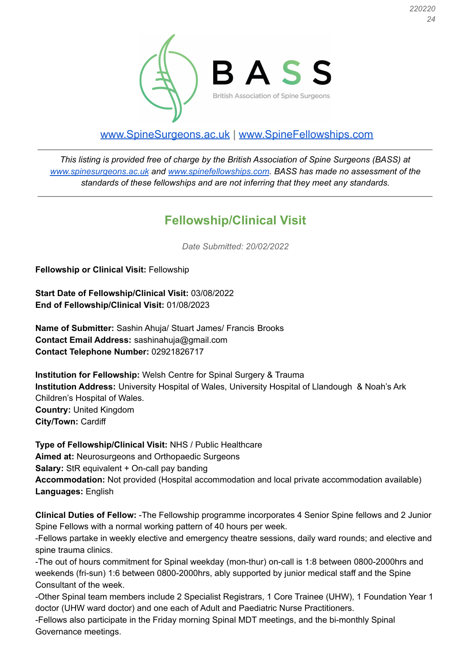*220220 24*



## [www.SpineSurgeons.ac.uk](http://www.spinesurgeons.ac.uk) | [www.SpineFellowships.com](http://www.spinefellowships.com)

*This listing is provided free of charge by the British Association of Spine Surgeons (BASS) at [www.spinesurgeons.ac.uk](http://www.spinesurgeons.ac.uk) and [www.spinefellowships.com.](http://www.spinefellowships.com) BASS has made no assessment of the standards of these fellowships and are not inferring that they meet any standards.*

## **Fellowship/Clinical Visit**

*Date Submitted: 20/02/2022*

**Fellowship or Clinical Visit:** Fellowship

**Start Date of Fellowship/Clinical Visit:** 03/08/2022 **End of Fellowship/Clinical Visit:** 01/08/2023

**Name of Submitter:** Sashin Ahuja/ Stuart James/ Francis Brooks **Contact Email Address:** sashinahuja@gmail.com **Contact Telephone Number:** 02921826717

**Institution for Fellowship:** Welsh Centre for Spinal Surgery & Trauma **Institution Address:** University Hospital of Wales, University Hospital of Llandough & Noah's Ark Children's Hospital of Wales. **Country:** United Kingdom **City/Town:** Cardiff

**Type of Fellowship/Clinical Visit:** NHS / Public Healthcare **Aimed at:** Neurosurgeons and Orthopaedic Surgeons **Salary:** StR equivalent + On-call pay banding **Accommodation:** Not provided (Hospital accommodation and local private accommodation available) **Languages:** English

**Clinical Duties of Fellow:** -The Fellowship programme incorporates 4 Senior Spine fellows and 2 Junior Spine Fellows with a normal working pattern of 40 hours per week.

-Fellows partake in weekly elective and emergency theatre sessions, daily ward rounds; and elective and spine trauma clinics.

-The out of hours commitment for Spinal weekday (mon-thur) on-call is 1:8 between 0800-2000hrs and weekends (fri-sun) 1:6 between 0800-2000hrs, ably supported by junior medical staff and the Spine Consultant of the week.

-Other Spinal team members include 2 Specialist Registrars, 1 Core Trainee (UHW), 1 Foundation Year 1 doctor (UHW ward doctor) and one each of Adult and Paediatric Nurse Practitioners.

-Fellows also participate in the Friday morning Spinal MDT meetings, and the bi-monthly Spinal Governance meetings.